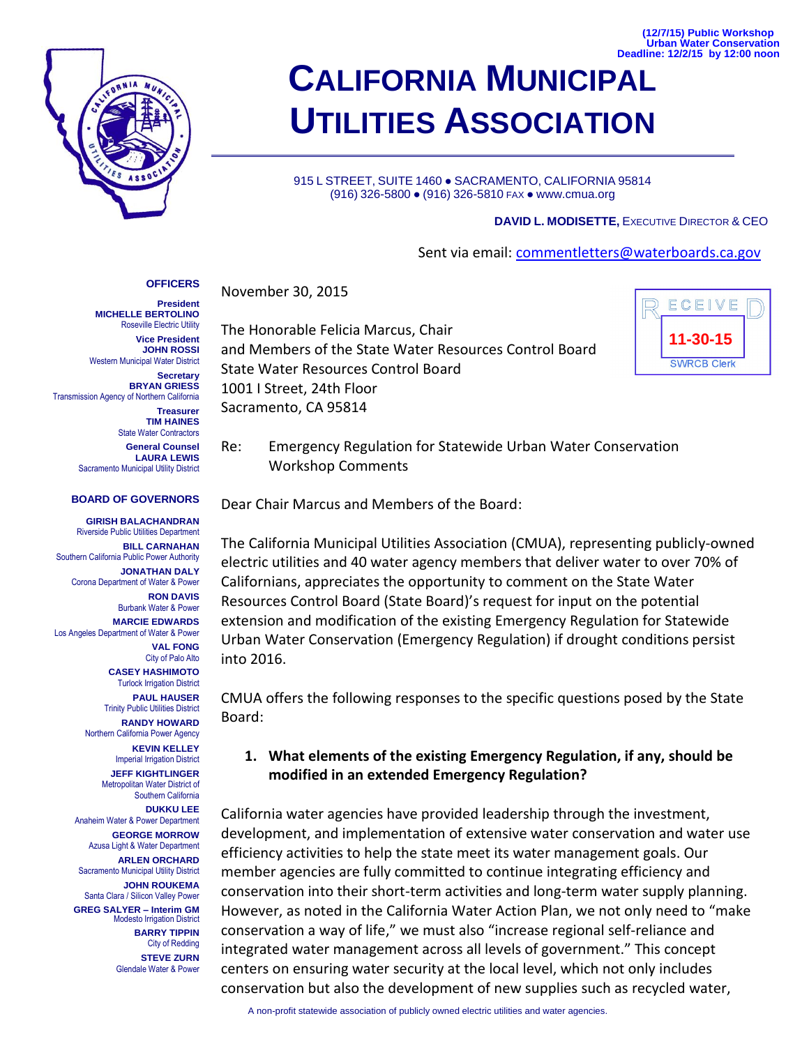

# **CALIFORNIA MUNICIPAL UTILITIES ASSOCIATION Deadline: 12/2/15 by 12:00 noon**

915 L STREET, SUITE 1460 · SACRAMENTO, CALIFORNIA 95814 (916) 326-5800 ● (916) 326-5810 FAX ● www.cmua.org

#### **DAVID L. MODISETTE,** EXECUTIVE DIRECTOR & CEO

#### Sent via email: [commentletters@waterboards.ca.gov](mailto:commentletters@waterboards.ca.gov)

### **OFFICERS**

**President MICHELLE BERTOLINO** Roseville Electric Utility **Vice President JOHN ROSSI** Western Municipal Water District **Secretary BRYAN GRIESS** Transmission Agency of Northern California **Treasurer TIM HAINES** State Water Contractors **General Counsel**

**LAURA LEWIS** Sacramento Municipal Utility District

#### **BOARD OF GOVERNORS**

**GIRISH BALACHANDRAN** Riverside Public Utilities Department **BILL CARNAHAN** Southern California Public Power Authority **JONATHAN DALY** Corona Department of Water & Power **RON DAVIS** Burbank Water & Power **MARCIE EDWARDS** Los Angeles Department of Water & Power **VAL FONG** City of Palo Alto **CASEY HASHIMOTO** Turlock Irrigation District **PAUL HAUSER** Trinity Public Utilities District **RANDY HOWARD** Northern California Power Agency **KEVIN KELLEY** Imperial Irrigation District **JEFF KIGHTLINGER** Metropolitan Water District of Southern California **DUKKU LEE** Anaheim Water & Power Department **GEORGE MORROW** Azusa Light & Water Department **ARLEN ORCHARD** Sacramento Municipal Utility District **JOHN ROUKEMA** Santa Clara / Silicon Valley Power **GREG SALYER – Interim GM** Modesto Irrigation District **BARRY TIPPIN** City of Redding **STEVE ZURN** Glendale Water & Power

November 30, 2015

The Honorable Felicia Marcus, Chair and Members of the State Water Resources Control Board State Water Resources Control Board 1001 I Street, 24th Floor Sacramento, CA 95814



**(12/7/15) Public Workshop Urban Water Conservation**

Re: Emergency Regulation for Statewide Urban Water Conservation Workshop Comments

Dear Chair Marcus and Members of the Board:

The California Municipal Utilities Association (CMUA), representing publicly-owned electric utilities and 40 water agency members that deliver water to over 70% of Californians, appreciates the opportunity to comment on the State Water Resources Control Board (State Board)'s request for input on the potential extension and modification of the existing Emergency Regulation for Statewide Urban Water Conservation (Emergency Regulation) if drought conditions persist into 2016.

CMUA offers the following responses to the specific questions posed by the State Board:

## **1. What elements of the existing Emergency Regulation, if any, should be modified in an extended Emergency Regulation?**

California water agencies have provided leadership through the investment, development, and implementation of extensive water conservation and water use efficiency activities to help the state meet its water management goals. Our member agencies are fully committed to continue integrating efficiency and conservation into their short-term activities and long-term water supply planning. However, as noted in the California Water Action Plan, we not only need to "make conservation a way of life," we must also "increase regional self-reliance and integrated water management across all levels of government." This concept centers on ensuring water security at the local level, which not only includes conservation but also the development of new supplies such as recycled water,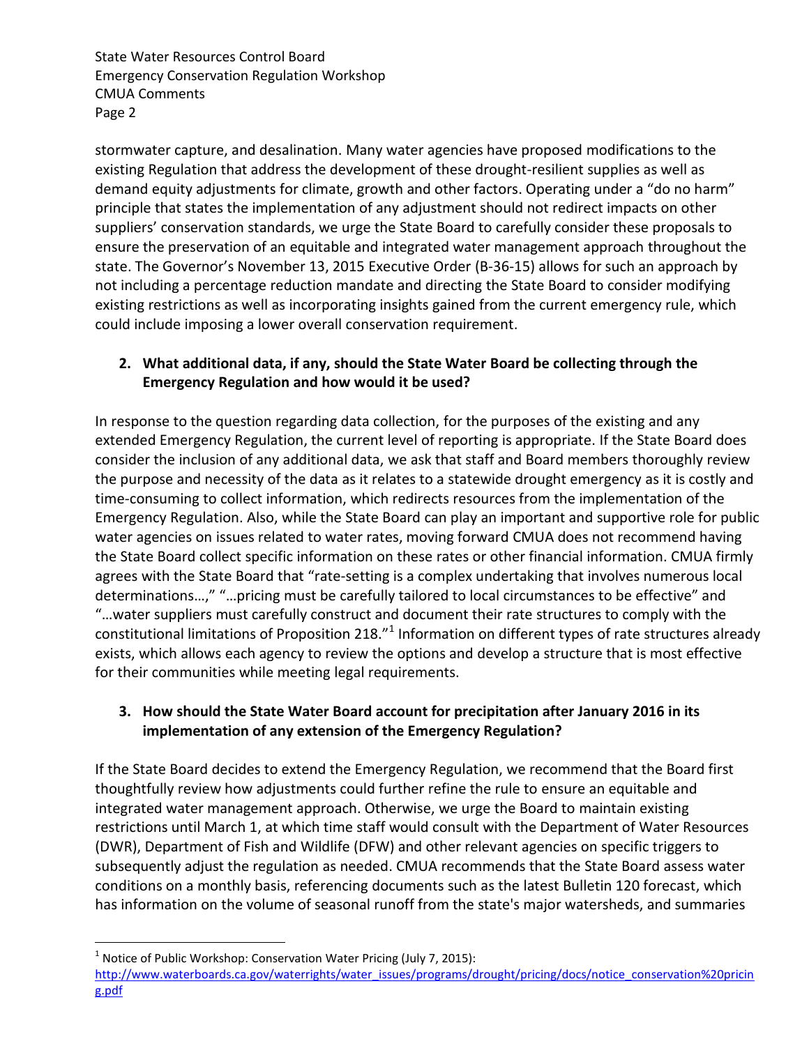State Water Resources Control Board Emergency Conservation Regulation Workshop CMUA Comments Page 2

stormwater capture, and desalination. Many water agencies have proposed modifications to the existing Regulation that address the development of these drought-resilient supplies as well as demand equity adjustments for climate, growth and other factors. Operating under a "do no harm" principle that states the implementation of any adjustment should not redirect impacts on other suppliers' conservation standards, we urge the State Board to carefully consider these proposals to ensure the preservation of an equitable and integrated water management approach throughout the state. The Governor's November 13, 2015 Executive Order (B-36-15) allows for such an approach by not including a percentage reduction mandate and directing the State Board to consider modifying existing restrictions as well as incorporating insights gained from the current emergency rule, which could include imposing a lower overall conservation requirement.

# **2. What additional data, if any, should the State Water Board be collecting through the Emergency Regulation and how would it be used?**

In response to the question regarding data collection, for the purposes of the existing and any extended Emergency Regulation, the current level of reporting is appropriate. If the State Board does consider the inclusion of any additional data, we ask that staff and Board members thoroughly review the purpose and necessity of the data as it relates to a statewide drought emergency as it is costly and time-consuming to collect information, which redirects resources from the implementation of the Emergency Regulation. Also, while the State Board can play an important and supportive role for public water agencies on issues related to water rates, moving forward CMUA does not recommend having the State Board collect specific information on these rates or other financial information. CMUA firmly agrees with the State Board that "rate-setting is a complex undertaking that involves numerous local determinations…," "…pricing must be carefully tailored to local circumstances to be effective" and "…water suppliers must carefully construct and document their rate structures to comply with the constitutional limitations of Proposition 218. $^{n}$  Information on different types of rate structures already exists, which allows each agency to review the options and develop a structure that is most effective for their communities while meeting legal requirements.

# **3. How should the State Water Board account for precipitation after January 2016 in its implementation of any extension of the Emergency Regulation?**

If the State Board decides to extend the Emergency Regulation, we recommend that the Board first thoughtfully review how adjustments could further refine the rule to ensure an equitable and integrated water management approach. Otherwise, we urge the Board to maintain existing restrictions until March 1, at which time staff would consult with the Department of Water Resources (DWR), Department of Fish and Wildlife (DFW) and other relevant agencies on specific triggers to subsequently adjust the regulation as needed. CMUA recommends that the State Board assess water conditions on a monthly basis, referencing documents such as the latest Bulletin 120 forecast, which has information on the volume of seasonal runoff from the state's major watersheds, and summaries

 $\overline{a}$ 

<sup>&</sup>lt;sup>1</sup> Notice of Public Workshop: Conservation Water Pricing (July 7, 2015):

[http://www.waterboards.ca.gov/waterrights/water\\_issues/programs/drought/pricing/docs/notice\\_conservation%20pricin](http://www.waterboards.ca.gov/waterrights/water_issues/programs/drought/pricing/docs/notice_conservation%20pricing.pdf) [g.pdf](http://www.waterboards.ca.gov/waterrights/water_issues/programs/drought/pricing/docs/notice_conservation%20pricing.pdf)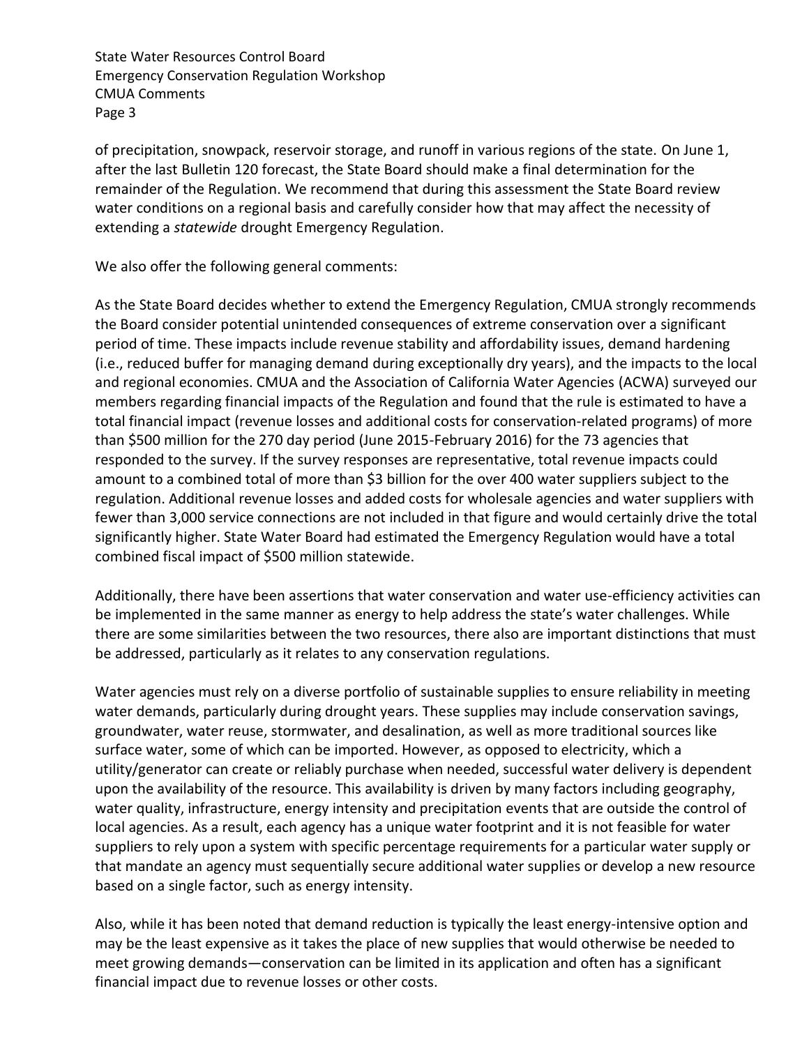State Water Resources Control Board Emergency Conservation Regulation Workshop CMUA Comments Page 3

of precipitation, snowpack, reservoir storage, and runoff in various regions of the state. On June 1, after the last Bulletin 120 forecast, the State Board should make a final determination for the remainder of the Regulation. We recommend that during this assessment the State Board review water conditions on a regional basis and carefully consider how that may affect the necessity of extending a *statewide* drought Emergency Regulation.

We also offer the following general comments:

As the State Board decides whether to extend the Emergency Regulation, CMUA strongly recommends the Board consider potential unintended consequences of extreme conservation over a significant period of time. These impacts include revenue stability and affordability issues, demand hardening (i.e., reduced buffer for managing demand during exceptionally dry years), and the impacts to the local and regional economies. CMUA and the Association of California Water Agencies (ACWA) surveyed our members regarding financial impacts of the Regulation and found that the rule is estimated to have a total financial impact (revenue losses and additional costs for conservation-related programs) of more than \$500 million for the 270 day period (June 2015-February 2016) for the 73 agencies that responded to the survey. If the survey responses are representative, total revenue impacts could amount to a combined total of more than \$3 billion for the over 400 water suppliers subject to the regulation. Additional revenue losses and added costs for wholesale agencies and water suppliers with fewer than 3,000 service connections are not included in that figure and would certainly drive the total significantly higher. State Water Board had estimated the Emergency Regulation would have a total combined fiscal impact of \$500 million statewide.

Additionally, there have been assertions that water conservation and water use-efficiency activities can be implemented in the same manner as energy to help address the state's water challenges. While there are some similarities between the two resources, there also are important distinctions that must be addressed, particularly as it relates to any conservation regulations.

Water agencies must rely on a diverse portfolio of sustainable supplies to ensure reliability in meeting water demands, particularly during drought years. These supplies may include conservation savings, groundwater, water reuse, stormwater, and desalination, as well as more traditional sources like surface water, some of which can be imported. However, as opposed to electricity, which a utility/generator can create or reliably purchase when needed, successful water delivery is dependent upon the availability of the resource. This availability is driven by many factors including geography, water quality, infrastructure, energy intensity and precipitation events that are outside the control of local agencies. As a result, each agency has a unique water footprint and it is not feasible for water suppliers to rely upon a system with specific percentage requirements for a particular water supply or that mandate an agency must sequentially secure additional water supplies or develop a new resource based on a single factor, such as energy intensity.

Also, while it has been noted that demand reduction is typically the least energy-intensive option and may be the least expensive as it takes the place of new supplies that would otherwise be needed to meet growing demands—conservation can be limited in its application and often has a significant financial impact due to revenue losses or other costs.